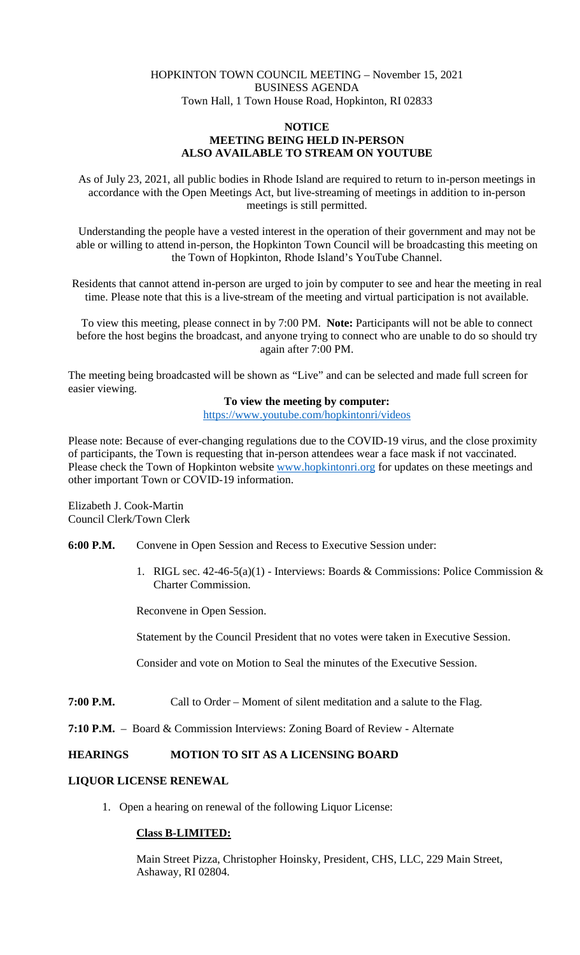# HOPKINTON TOWN COUNCIL MEETING – November 15, 2021 BUSINESS AGENDA Town Hall, 1 Town House Road, Hopkinton, RI 02833

### **NOTICE MEETING BEING HELD IN-PERSON ALSO AVAILABLE TO STREAM ON YOUTUBE**

As of July 23, 2021, all public bodies in Rhode Island are required to return to in-person meetings in accordance with the Open Meetings Act, but live-streaming of meetings in addition to in-person meetings is still permitted.

Understanding the people have a vested interest in the operation of their government and may not be able or willing to attend in-person, the Hopkinton Town Council will be broadcasting this meeting on the Town of Hopkinton, Rhode Island's YouTube Channel.

Residents that cannot attend in-person are urged to join by computer to see and hear the meeting in real time. Please note that this is a live-stream of the meeting and virtual participation is not available.

To view this meeting, please connect in by 7:00 PM. **Note:** Participants will not be able to connect before the host begins the broadcast, and anyone trying to connect who are unable to do so should try again after 7:00 PM.

The meeting being broadcasted will be shown as "Live" and can be selected and made full screen for easier viewing.

# **To view the meeting by computer:**

<https://www.youtube.com/hopkintonri/videos>

Please note: Because of ever-changing regulations due to the COVID-19 virus, and the close proximity of participants, the Town is requesting that in-person attendees wear a face mask if not vaccinated. Please check the Town of Hopkinton website [www.hopkintonri.org](http://www.hopkintonri.org/) for updates on these meetings and other important Town or COVID-19 information.

Elizabeth J. Cook-Martin Council Clerk/Town Clerk

**6:00 P.M.** Convene in Open Session and Recess to Executive Session under:

1. RIGL sec. 42-46-5(a)(1) - Interviews: Boards & Commissions: Police Commission & Charter Commission.

Reconvene in Open Session.

Statement by the Council President that no votes were taken in Executive Session.

Consider and vote on Motion to Seal the minutes of the Executive Session.

- **7:00 P.M.** Call to Order Moment of silent meditation and a salute to the Flag.
- **7:10 P.M.** Board & Commission Interviews: Zoning Board of Review Alternate

# **HEARINGS MOTION TO SIT AS A LICENSING BOARD**

# **LIQUOR LICENSE RENEWAL**

1. Open a hearing on renewal of the following Liquor License:

# **Class B-LIMITED:**

Main Street Pizza, Christopher Hoinsky, President, CHS, LLC, 229 Main Street, Ashaway, RI 02804.